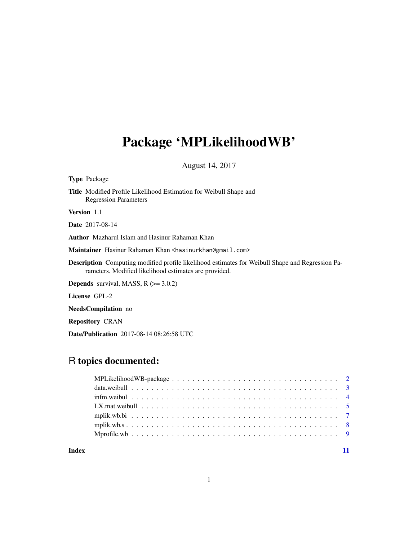# Package 'MPLikelihoodWB'

August 14, 2017

Type Package

Title Modified Profile Likelihood Estimation for Weibull Shape and Regression Parameters

Version 1.1

Date 2017-08-14

Author Mazharul Islam and Hasinur Rahaman Khan

Maintainer Hasinur Rahaman Khan <hasinurkhan@gmail.com>

Description Computing modified profile likelihood estimates for Weibull Shape and Regression Parameters. Modified likelihood estimates are provided.

**Depends** survival, MASS,  $R$  ( $> = 3.0.2$ )

License GPL-2

NeedsCompilation no

Repository CRAN

Date/Publication 2017-08-14 08:26:58 UTC

# R topics documented:

## 1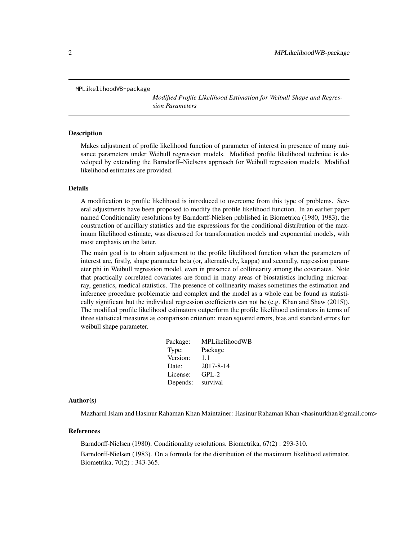<span id="page-1-0"></span>MPLikelihoodWB-package

*Modified Profile Likelihood Estimation for Weibull Shape and Regression Parameters*

#### **Description**

Makes adjustment of profile likelihood function of parameter of interest in presence of many nuisance parameters under Weibull regression models. Modified profile likelihood techniue is developed by extending the Barndorff–Nielsens approach for Weibull regression models. Modified likelihood estimates are provided.

#### Details

A modification to profile likelihood is introduced to overcome from this type of problems. Several adjustments have been proposed to modify the profile likelihood function. In an earlier paper named Conditionality resolutions by Barndorff-Nielsen published in Biometrica (1980, 1983), the construction of ancillary statistics and the expressions for the conditional distribution of the maximum likelihood estimate, was discussed for transformation models and exponential models, with most emphasis on the latter.

The main goal is to obtain adjustment to the profile likelihood function when the parameters of interest are, firstly, shape parameter beta (or, alternatively, kappa) and secondly, regression parameter phi in Weibull regression model, even in presence of collinearity among the covariates. Note that practically correlated covariates are found in many areas of biostatistics including microarray, genetics, medical statistics. The presence of collinearity makes sometimes the estimation and inference procedure problematic and complex and the model as a whole can be found as statistically significant but the individual regression coefficients can not be (e.g. Khan and Shaw (2015)). The modified profile likelihood estimators outperform the profile likelihood estimators in terms of three statistical measures as comparison criterion: mean squared errors, bias and standard errors for weibull shape parameter.

| <b>MPL</b> ikelihoodWB |
|------------------------|
| Package                |
| 1.1                    |
| 2017-8-14              |
| $GPL-2$                |
| survival               |
|                        |

#### Author(s)

Mazharul Islam and Hasinur Rahaman Khan Maintainer: Hasinur Rahaman Khan <hasinurkhan@gmail.com>

#### References

Barndorff-Nielsen (1980). Conditionality resolutions. Biometrika, 67(2) : 293-310. Barndorff-Nielsen (1983). On a formula for the distribution of the maximum likelihood estimator. Biometrika, 70(2) : 343-365.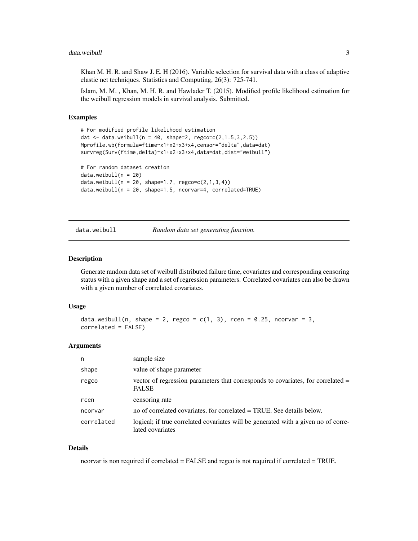#### <span id="page-2-0"></span>data.weibull 3

Khan M. H. R. and Shaw J. E. H (2016). Variable selection for survival data with a class of adaptive elastic net techniques. Statistics and Computing, 26(3): 725-741.

Islam, M. M. , Khan, M. H. R. and Hawlader T. (2015). Modified profile likelihood estimation for the weibull regression models in survival analysis. Submitted.

# Examples

```
# For modified profile likelihood estimation
dat <- data.weibull(n = 40, shape=2, regco=c(2,1.5,3,2.5))
Mprofile.wb(formula=ftime~x1+x2+x3+x4,censor="delta",data=dat)
survreg(Surv(ftime,delta)~x1+x2+x3+x4,data=dat,dist="weibull")
# For random dataset creation
data.weibull(n = 20)data.weibull(n = 20, shape=1.7, regco = c(2,1,3,4))
data.weibull(n = 20, shape=1.5, ncorvar=4, correlated=TRUE)
```
data.weibull *Random data set generating function.*

#### Description

Generate random data set of weibull distributed failure time, covariates and corresponding censoring status with a given shape and a set of regression parameters. Correlated covariates can also be drawn with a given number of correlated covariates.

#### Usage

```
data.weibull(n, shape = 2, regco = c(1, 3), rcen = 0.25, ncorvar = 3,
correlated = FALSE)
```
#### Arguments

| n          | sample size                                                                                            |
|------------|--------------------------------------------------------------------------------------------------------|
| shape      | value of shape parameter                                                                               |
| regco      | vector of regression parameters that corresponds to covariates, for correlated $=$<br><b>FALSE</b>     |
| rcen       | censoring rate                                                                                         |
| ncorvar    | no of correlated covariates, for correlated = TRUE. See details below.                                 |
| correlated | logical; if true correlated covariates will be generated with a given no of corre-<br>lated covariates |

# Details

ncorvar is non required if correlated = FALSE and regco is not required if correlated = TRUE.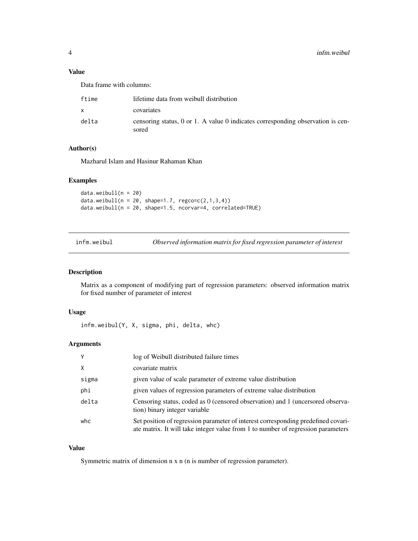# <span id="page-3-0"></span>Value

Data frame with columns:

| ftime | lifetime data from weibull distribution                                                    |
|-------|--------------------------------------------------------------------------------------------|
| x.    | covariates                                                                                 |
| delta | censoring status, $0$ or 1. A value 0 indicates corresponding observation is cen-<br>sored |

# Author(s)

Mazharul Islam and Hasinur Rahaman Khan

# Examples

 $data.weibull(n = 20)$ data.weibull( $n = 20$ , shape=1.7, regco=c(2,1,3,4)) data.weibull(n = 20, shape=1.5, ncorvar=4, correlated=TRUE)

infm.weibul *Observed information matrix for fixed regression parameter of interest*

# Description

Matrix as a component of modifying part of regression parameters: observed information matrix for fixed number of parameter of interest

# Usage

infm.weibul(Y, X, sigma, phi, delta, whc)

# Arguments

|       | log of Weibull distributed failure times                                                                                                                              |
|-------|-----------------------------------------------------------------------------------------------------------------------------------------------------------------------|
| X     | covariate matrix                                                                                                                                                      |
| sigma | given value of scale parameter of extreme value distribution                                                                                                          |
| phi   | given values of regression parameters of extreme value distribution                                                                                                   |
| delta | Censoring status, coded as 0 (censored observation) and 1 (uncersored observa-<br>tion) binary integer variable                                                       |
| whc   | Set position of regression parameter of interest corresponding predefined covari-<br>ate matrix. It will take integer value from 1 to number of regression parameters |

# Value

Symmetric matrix of dimension n x n (n is number of regression parameter).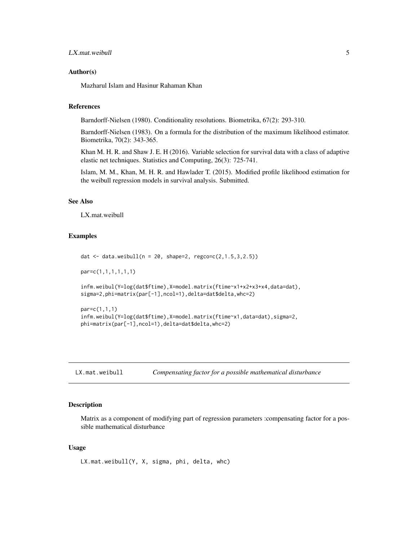# <span id="page-4-0"></span>LX.mat.weibull 5

# Author(s)

Mazharul Islam and Hasinur Rahaman Khan

# References

Barndorff-Nielsen (1980). Conditionality resolutions. Biometrika, 67(2): 293-310.

Barndorff-Nielsen (1983). On a formula for the distribution of the maximum likelihood estimator. Biometrika, 70(2): 343-365.

Khan M. H. R. and Shaw J. E. H (2016). Variable selection for survival data with a class of adaptive elastic net techniques. Statistics and Computing, 26(3): 725-741.

Islam, M. M., Khan, M. H. R. and Hawlader T. (2015). Modified profile likelihood estimation for the weibull regression models in survival analysis. Submitted.

# See Also

LX.mat.weibull

# Examples

```
dat <- data.weibull(n = 20, shape=2, regco=c(2,1.5,3,2.5))
par=c(1,1,1,1,1,1)
infm.weibul(Y=log(dat$ftime),X=model.matrix(ftime~x1+x2+x3+x4,data=dat),
sigma=2,phi=matrix(par[-1],ncol=1),delta=dat$delta,whc=2)
par=c(1,1,1)
infm.weibul(Y=log(dat$ftime),X=model.matrix(ftime~x1,data=dat),sigma=2,
phi=matrix(par[-1],ncol=1),delta=dat$delta,whc=2)
```

| LX.mat.weibull | Compensating factor for a possible mathematical disturbance |  |  |
|----------------|-------------------------------------------------------------|--|--|
|----------------|-------------------------------------------------------------|--|--|

# Description

Matrix as a component of modifying part of regression parameters :compensating factor for a possible mathematical disturbance

# Usage

LX.mat.weibull(Y, X, sigma, phi, delta, whc)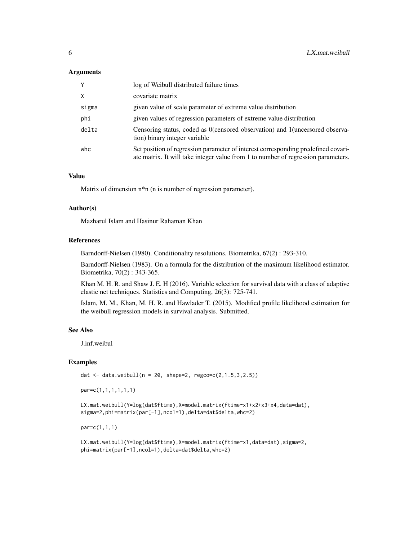# Arguments

| Y     | log of Weibull distributed failure times                                                                                                                               |
|-------|------------------------------------------------------------------------------------------------------------------------------------------------------------------------|
| X     | covariate matrix                                                                                                                                                       |
| sigma | given value of scale parameter of extreme value distribution                                                                                                           |
| phi   | given values of regression parameters of extreme value distribution                                                                                                    |
| delta | Censoring status, coded as 0 (censored observation) and 1 (uncersored observa-<br>tion) binary integer variable                                                        |
| whc   | Set position of regression parameter of interest corresponding predefined covari-<br>ate matrix. It will take integer value from 1 to number of regression parameters. |

# Value

Matrix of dimension n\*n (n is number of regression parameter).

#### Author(s)

Mazharul Islam and Hasinur Rahaman Khan

# References

Barndorff-Nielsen (1980). Conditionality resolutions. Biometrika, 67(2) : 293-310.

Barndorff-Nielsen (1983). On a formula for the distribution of the maximum likelihood estimator. Biometrika, 70(2) : 343-365.

Khan M. H. R. and Shaw J. E. H (2016). Variable selection for survival data with a class of adaptive elastic net techniques. Statistics and Computing, 26(3): 725-741.

Islam, M. M., Khan, M. H. R. and Hawlader T. (2015). Modified profile likelihood estimation for the weibull regression models in survival analysis. Submitted.

# See Also

J.inf.weibul

#### Examples

dat <- data.weibull( $n = 20$ , shape=2, regco=c(2,1.5,3,2.5))

par=c(1,1,1,1,1,1)

LX.mat.weibull(Y=log(dat\$ftime),X=model.matrix(ftime~x1+x2+x3+x4,data=dat), sigma=2,phi=matrix(par[-1],ncol=1),delta=dat\$delta,whc=2)

par=c(1,1,1)

```
LX.mat.weibull(Y=log(dat$ftime),X=model.matrix(ftime~x1,data=dat),sigma=2,
phi=matrix(par[-1],ncol=1),delta=dat$delta,whc=2)
```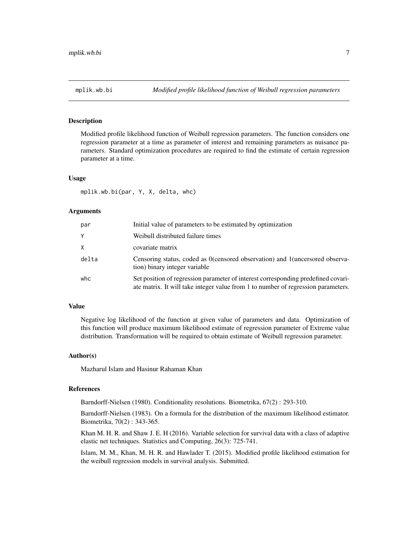<span id="page-6-0"></span>

# **Description**

Modified profile likelihood function of Weibull regression parameters. The function considers one regression parameter at a time as parameter of interest and remaining parameters as nuisance parameters. Standard optimization procedures are required to find the estimate of certain regression parameter at a time.

# Usage

mplik.wb.bi(par, Y, X, delta, whc)

# Arguments

| par   | Initial value of parameters to be estimated by optimization                                                                                                            |
|-------|------------------------------------------------------------------------------------------------------------------------------------------------------------------------|
| Y     | Weibull distributed failure times                                                                                                                                      |
| X     | covariate matrix                                                                                                                                                       |
| delta | Censoring status, coded as 0 (censored observation) and 1 (uncersored observa-<br>tion) binary integer variable                                                        |
| whc   | Set position of regression parameter of interest corresponding predefined covari-<br>ate matrix. It will take integer value from 1 to number of regression parameters. |

#### Value

Negative log likelihood of the function at given value of parameters and data. Optimization of this function will produce maximum likelihood estimate of regression parameter of Extreme value distribution. Transformation will be required to obtain estimate of Weibull regression parameter.

# Author(s)

Mazharul Islam and Hasinur Rahaman Khan

#### References

Barndorff-Nielsen (1980). Conditionality resolutions. Biometrika, 67(2) : 293-310.

Barndorff-Nielsen (1983). On a formula for the distribution of the maximum likelihood estimator. Biometrika, 70(2) : 343-365.

Khan M. H. R. and Shaw J. E. H (2016). Variable selection for survival data with a class of adaptive elastic net techniques. Statistics and Computing, 26(3): 725-741.

Islam, M. M., Khan, M. H. R. and Hawlader T. (2015). Modified profile likelihood estimation for the weibull regression models in survival analysis. Submitted.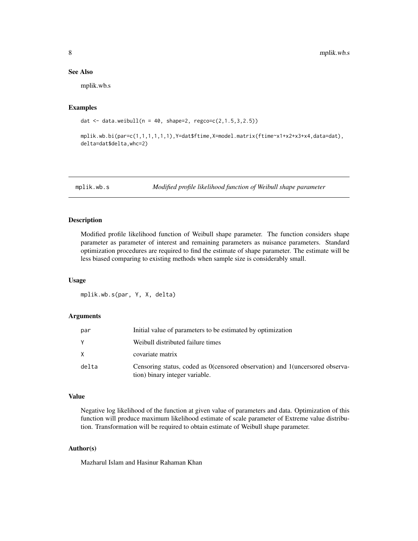# <span id="page-7-0"></span>See Also

mplik.wb.s

### Examples

```
dat <- data.weibull(n = 40, shape=2, regco=c(2,1.5,3,2.5))
```
mplik.wb.bi(par=c(1,1,1,1,1,1),Y=dat\$ftime,X=model.matrix(ftime~x1+x2+x3+x4,data=dat), delta=dat\$delta,whc=2)

mplik.wb.s *Modified profile likelihood function of Weibull shape parameter*

# Description

Modified profile likelihood function of Weibull shape parameter. The function considers shape parameter as parameter of interest and remaining parameters as nuisance parameters. Standard optimization procedures are required to find the estimate of shape parameter. The estimate will be less biased comparing to existing methods when sample size is considerably small.

#### Usage

mplik.wb.s(par, Y, X, delta)

# Arguments

| par   | Initial value of parameters to be estimated by optimization                                                      |
|-------|------------------------------------------------------------------------------------------------------------------|
| Υ     | Weibull distributed failure times                                                                                |
| X     | covariate matrix                                                                                                 |
| delta | Censoring status, coded as 0 (censored observation) and 1 (uncersored observa-<br>tion) binary integer variable. |

# Value

Negative log likelihood of the function at given value of parameters and data. Optimization of this function will produce maximum likelihood estimate of scale parameter of Extreme value distribution. Transformation will be required to obtain estimate of Weibull shape parameter.

# Author(s)

Mazharul Islam and Hasinur Rahaman Khan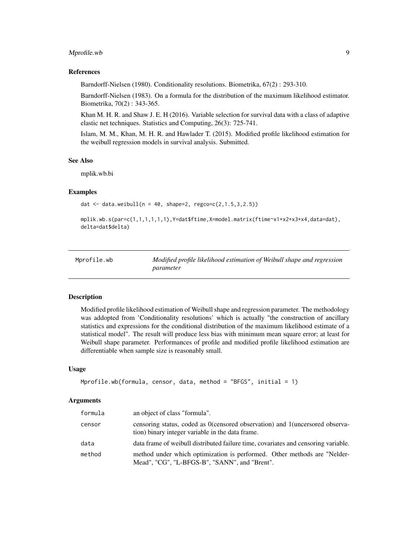# <span id="page-8-0"></span>Mprofile.wb 9

### References

Barndorff-Nielsen (1980). Conditionality resolutions. Biometrika, 67(2) : 293-310.

Barndorff-Nielsen (1983). On a formula for the distribution of the maximum likelihood estimator. Biometrika, 70(2) : 343-365.

Khan M. H. R. and Shaw J. E. H (2016). Variable selection for survival data with a class of adaptive elastic net techniques. Statistics and Computing, 26(3): 725-741.

Islam, M. M., Khan, M. H. R. and Hawlader T. (2015). Modified profile likelihood estimation for the weibull regression models in survival analysis. Submitted.

# See Also

mplik.wb.bi

# Examples

```
dat <- data.weibull(n = 40, shape=2, regco=c(2,1.5,3,2.5))
```

```
mplik.wb.s(par=c(1,1,1,1,1,1),Y=dat$ftime,X=model.matrix(ftime~x1+x2+x3+x4,data=dat),
delta=dat$delta)
```

| Mprofile.wb | Modified profile likelihood estimation of Weibull shape and regression |
|-------------|------------------------------------------------------------------------|
|             | parameter                                                              |

# Description

Modified profile likelihood estimation of Weibull shape and regression parameter. The methodology was addopted from 'Conditionality resolutions' which is actually "the construction of ancillary statistics and expressions for the conditional distribution of the maximum likelihood estimate of a statistical model". The result will produce less bias with minimum mean square error; at least for Weibull shape parameter. Performances of profile and modified profile likelihood estimation are differentiable when sample size is reasonably small.

#### Usage

```
Mprofile.wb(formula, censor, data, method = "BFGS", initial = 1)
```
#### Arguments

| formula | an object of class "formula".                                                                                                    |
|---------|----------------------------------------------------------------------------------------------------------------------------------|
| censor  | censoring status, coded as 0(censored observation) and 1(uncersored observa-<br>tion) binary integer variable in the data frame. |
| data    | data frame of weibull distributed failure time, covariates and censoring variable.                                               |
| method  | method under which optimization is performed. Other methods are "Nelder-<br>Mead", "CG", "L-BFGS-B", "SANN", and "Brent".        |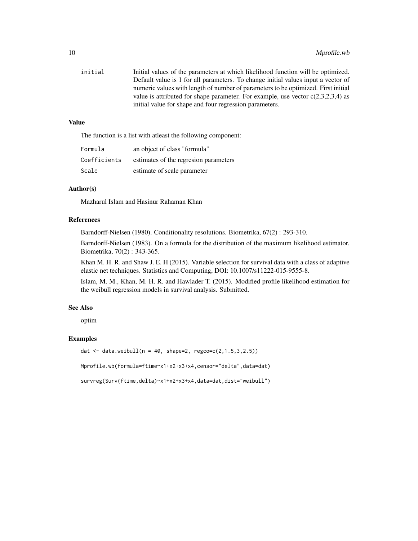| initial | Initial values of the parameters at which likelihood function will be optimized.   |
|---------|------------------------------------------------------------------------------------|
|         | Default value is 1 for all parameters. To change initial values input a vector of  |
|         | numeric values with length of number of parameters to be optimized. First initial  |
|         | value is attributed for shape parameter. For example, use vector $c(2,3,2,3,4)$ as |
|         | initial value for shape and four regression parameters.                            |

# Value

The function is a list with atleast the following component:

| Formula      | an object of class "formula"           |
|--------------|----------------------------------------|
| Coefficients | estimates of the regression parameters |
| Scale        | estimate of scale parameter            |

# Author(s)

Mazharul Islam and Hasinur Rahaman Khan

# References

Barndorff-Nielsen (1980). Conditionality resolutions. Biometrika, 67(2) : 293-310.

Barndorff-Nielsen (1983). On a formula for the distribution of the maximum likelihood estimator. Biometrika, 70(2) : 343-365.

Khan M. H. R. and Shaw J. E. H (2015). Variable selection for survival data with a class of adaptive elastic net techniques. Statistics and Computing, DOI: 10.1007/s11222-015-9555-8.

Islam, M. M., Khan, M. H. R. and Hawlader T. (2015). Modified profile likelihood estimation for the weibull regression models in survival analysis. Submitted.

# See Also

optim

# Examples

dat <- data.weibull( $n = 40$ , shape=2, regco=c(2,1.5,3,2.5))

Mprofile.wb(formula=ftime~x1+x2+x3+x4,censor="delta",data=dat)

survreg(Surv(ftime,delta)~x1+x2+x3+x4,data=dat,dist="weibull")